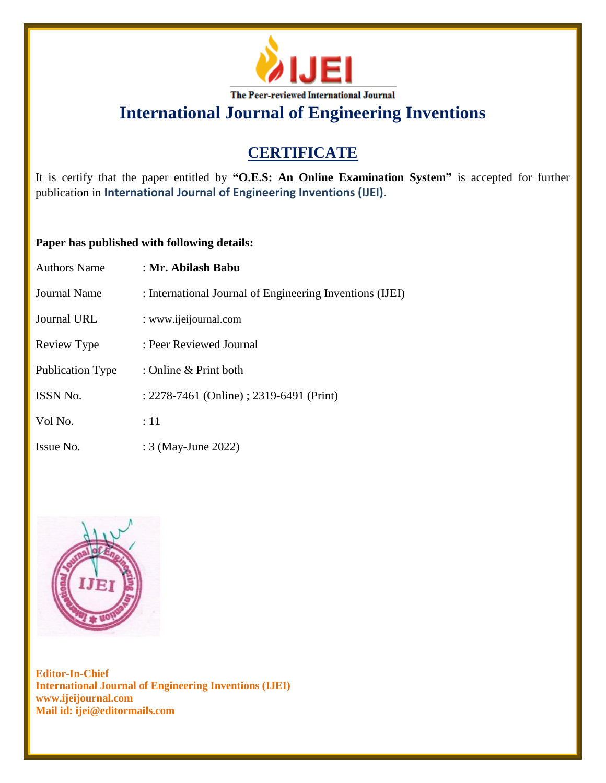

# **CERTIFICATE**

It is certify that the paper entitled by **"O.E.S: An Online Examination System"** is accepted for further publication in **International Journal of Engineering Inventions (IJEI)**.

### **Paper has published with following details:**

| <b>Authors Name</b>     | : Mr. Abilash Babu                                       |
|-------------------------|----------------------------------------------------------|
| Journal Name            | : International Journal of Engineering Inventions (IJEI) |
| Journal URL             | : www.ijeijournal.com                                    |
| Review Type             | : Peer Reviewed Journal                                  |
| <b>Publication Type</b> | : Online & Print both                                    |
| ISSN No.                | : 2278-7461 (Online) ; 2319-6491 (Print)                 |
| Vol No.                 | :11                                                      |
| Issue No.               | : 3 (May-June 2022)                                      |

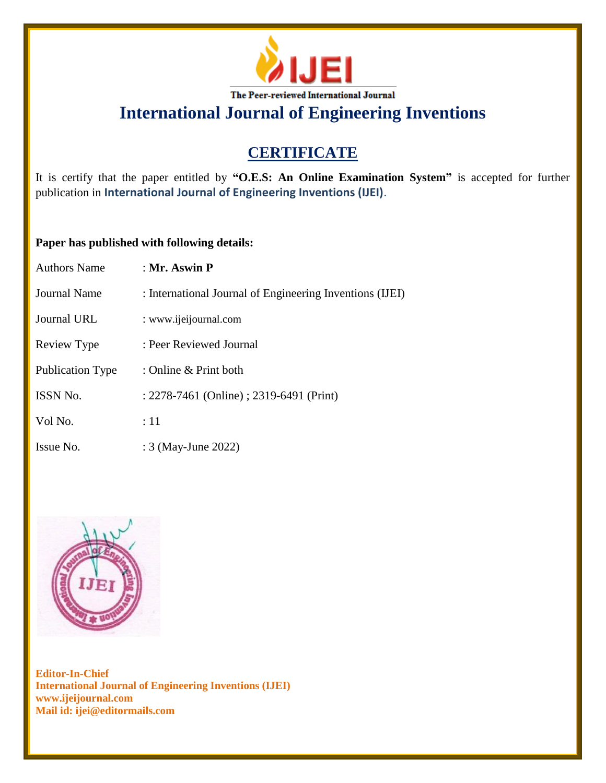

# **CERTIFICATE**

It is certify that the paper entitled by **"O.E.S: An Online Examination System"** is accepted for further publication in **International Journal of Engineering Inventions (IJEI)**.

### **Paper has published with following details:**

| Authors Name        | : Mr. Aswin $P$                                          |
|---------------------|----------------------------------------------------------|
| <b>Journal Name</b> | : International Journal of Engineering Inventions (IJEI) |
| Journal URL         | : www.ijeijournal.com                                    |
| Review Type         | : Peer Reviewed Journal                                  |
| Publication Type    | : Online & Print both                                    |
| <b>ISSN No.</b>     | : 2278-7461 (Online) ; 2319-6491 (Print)                 |
| Vol No.             | :11                                                      |
| Issue No.           | : 3 (May-June 2022)                                      |

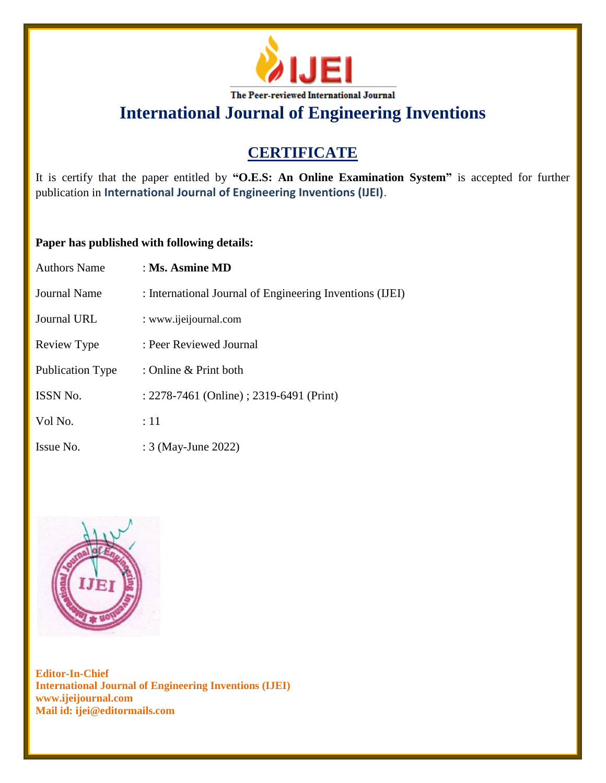

# **CERTIFICATE**

It is certify that the paper entitled by **"O.E.S: An Online Examination System"** is accepted for further publication in **International Journal of Engineering Inventions (IJEI)**.

### **Paper has published with following details:**

| <b>Authors Name</b>     | $\pm$ Ms. Asmine MD                                      |
|-------------------------|----------------------------------------------------------|
| <b>Journal Name</b>     | : International Journal of Engineering Inventions (IJEI) |
| Journal URL             | : www.ijeijournal.com                                    |
| Review Type             | : Peer Reviewed Journal                                  |
| <b>Publication Type</b> | : Online & Print both                                    |
| ISSN No.                | : 2278-7461 (Online) ; 2319-6491 (Print)                 |
| Vol No.                 | :11                                                      |
| Issue No.               | : 3 (May-June 2022)                                      |